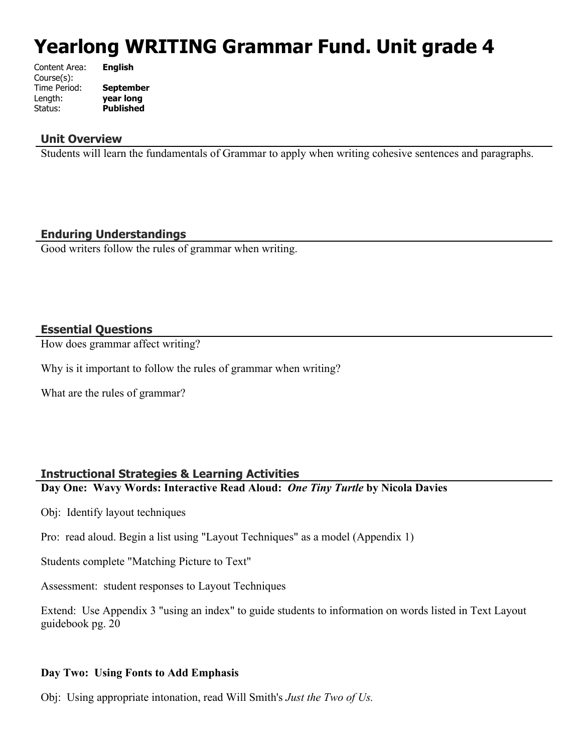# **Yearlong WRITING Grammar Fund. Unit grade 4**

| Content Area: | <b>English</b>   |
|---------------|------------------|
| Course(s):    |                  |
| Time Period:  | <b>September</b> |
| Length:       | year long        |
| Status:       | <b>Published</b> |
|               |                  |

## **Unit Overview**

Students will learn the fundamentals of Grammar to apply when writing cohesive sentences and paragraphs.

## **Enduring Understandings**

Good writers follow the rules of grammar when writing.

#### **Essential Questions**

How does grammar affect writing?

Why is it important to follow the rules of grammar when writing?

What are the rules of grammar?

## **Instructional Strategies & Learning Activities**

**Day One: Wavy Words: Interactive Read Aloud:** *One Tiny Turtle* **by Nicola Davies** 

Obj: Identify layout techniques

Pro: read aloud. Begin a list using "Layout Techniques" as a model (Appendix 1)

Students complete "Matching Picture to Text"

Assessment: student responses to Layout Techniques

Extend: Use Appendix 3 "using an index" to guide students to information on words listed in Text Layout guidebook pg. 20

#### **Day Two: Using Fonts to Add Emphasis**

Obj: Using appropriate intonation, read Will Smith's *Just the Two of Us.*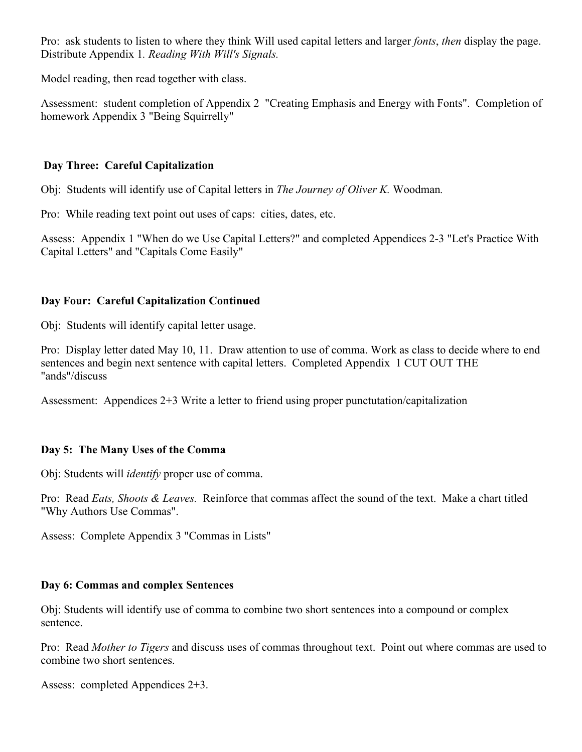Pro: ask students to listen to where they think Will used capital letters and larger *fonts*, *then* display the page. Distribute Appendix 1*. Reading With Will's Signals.*

Model reading, then read together with class.

Assessment: student completion of Appendix 2 "Creating Emphasis and Energy with Fonts". Completion of homework Appendix 3 "Being Squirrelly"

# **Day Three: Careful Capitalization**

Obj: Students will identify use of Capital letters in *The Journey of Oliver K.* Woodman*.*

Pro: While reading text point out uses of caps: cities, dates, etc.

Assess: Appendix 1 "When do we Use Capital Letters?" and completed Appendices 2-3 "Let's Practice With Capital Letters" and "Capitals Come Easily"

# **Day Four: Careful Capitalization Continued**

Obj: Students will identify capital letter usage.

Pro: Display letter dated May 10, 11. Draw attention to use of comma. Work as class to decide where to end sentences and begin next sentence with capital letters. Completed Appendix 1 CUT OUT THE "ands"/discuss

Assessment: Appendices 2+3 Write a letter to friend using proper punctutation/capitalization

# **Day 5: The Many Uses of the Comma**

Obj: Students will *identify* proper use of comma.

Pro: Read *Eats, Shoots & Leaves.* Reinforce that commas affect the sound of the text. Make a chart titled "Why Authors Use Commas".

Assess: Complete Appendix 3 "Commas in Lists"

## **Day 6: Commas and complex Sentences**

Obj: Students will identify use of comma to combine two short sentences into a compound or complex sentence.

Pro: Read *Mother to Tigers* and discuss uses of commas throughout text. Point out where commas are used to combine two short sentences.

Assess: completed Appendices 2+3.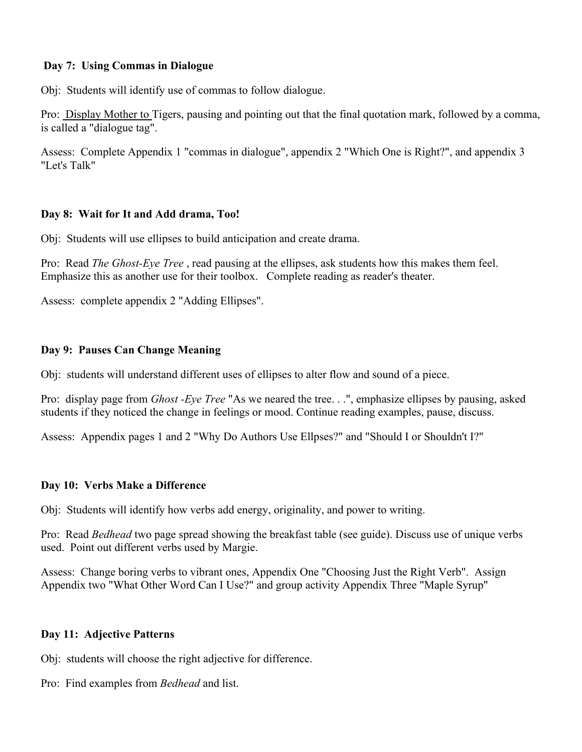## **Day 7: Using Commas in Dialogue**

Obj: Students will identify use of commas to follow dialogue.

Pro: Display Mother to Tigers, pausing and pointing out that the final quotation mark, followed by a comma, is called a "dialogue tag".

Assess: Complete Appendix 1 "commas in dialogue", appendix 2 "Which One is Right?", and appendix 3 "Let's Talk"

## **Day 8: Wait for It and Add drama, Too!**

Obj: Students will use ellipses to build anticipation and create drama.

Pro: Read *The Ghost-Eye Tree* , read pausing at the ellipses, ask students how this makes them feel. Emphasize this as another use for their toolbox. Complete reading as reader's theater.

Assess: complete appendix 2 "Adding Ellipses".

#### **Day 9: Pauses Can Change Meaning**

Obj: students will understand different uses of ellipses to alter flow and sound of a piece.

Pro: display page from *Ghost -Eye Tree* "As we neared the tree. . .", emphasize ellipses by pausing, asked students if they noticed the change in feelings or mood. Continue reading examples, pause, discuss.

Assess: Appendix pages 1 and 2 "Why Do Authors Use Ellpses?" and "Should I or Shouldn't I?"

#### **Day 10: Verbs Make a Difference**

Obj: Students will identify how verbs add energy, originality, and power to writing.

Pro: Read *Bedhead* two page spread showing the breakfast table (see guide). Discuss use of unique verbs used. Point out different verbs used by Margie.

Assess: Change boring verbs to vibrant ones, Appendix One "Choosing Just the Right Verb". Assign Appendix two "What Other Word Can I Use?" and group activity Appendix Three "Maple Syrup"

#### **Day 11: Adjective Patterns**

Obj: students will choose the right adjective for difference.

Pro: Find examples from *Bedhead* and list.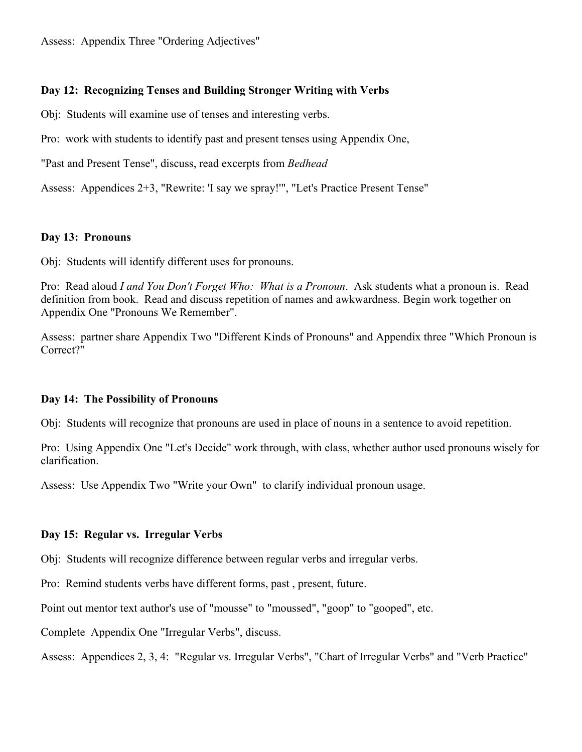Assess: Appendix Three "Ordering Adjectives"

### **Day 12: Recognizing Tenses and Building Stronger Writing with Verbs**

Obj: Students will examine use of tenses and interesting verbs.

Pro: work with students to identify past and present tenses using Appendix One,

"Past and Present Tense", discuss, read excerpts from *Bedhead*

Assess: Appendices 2+3, "Rewrite: 'I say we spray!'", "Let's Practice Present Tense"

#### **Day 13: Pronouns**

Obj: Students will identify different uses for pronouns.

Pro: Read aloud *I and You Don't Forget Who: What is a Pronoun*. Ask students what a pronoun is. Read definition from book. Read and discuss repetition of names and awkwardness. Begin work together on Appendix One "Pronouns We Remember".

Assess: partner share Appendix Two "Different Kinds of Pronouns" and Appendix three "Which Pronoun is Correct?"

#### **Day 14: The Possibility of Pronouns**

Obj: Students will recognize that pronouns are used in place of nouns in a sentence to avoid repetition.

Pro: Using Appendix One "Let's Decide" work through, with class, whether author used pronouns wisely for clarification.

Assess: Use Appendix Two "Write your Own" to clarify individual pronoun usage.

#### **Day 15: Regular vs. Irregular Verbs**

Obj: Students will recognize difference between regular verbs and irregular verbs.

Pro: Remind students verbs have different forms, past , present, future.

Point out mentor text author's use of "mousse" to "moussed", "goop" to "gooped", etc.

Complete Appendix One "Irregular Verbs", discuss.

Assess: Appendices 2, 3, 4: "Regular vs. Irregular Verbs", "Chart of Irregular Verbs" and "Verb Practice"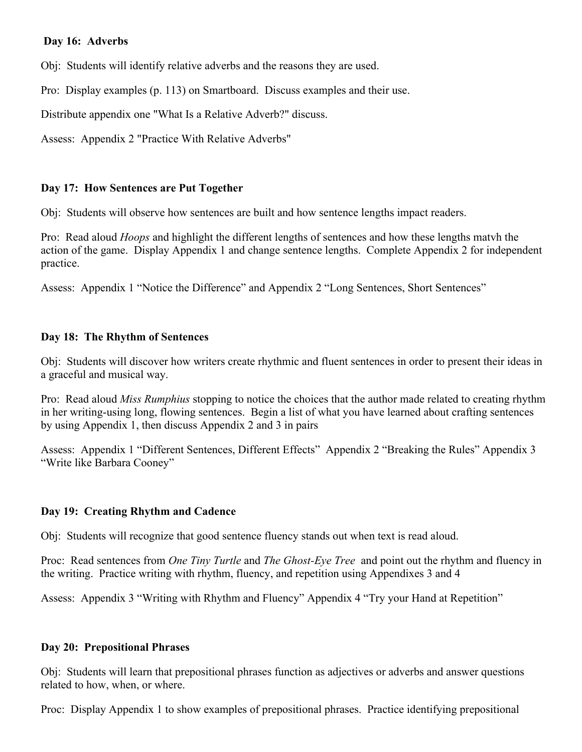## **Day 16: Adverbs**

Obj: Students will identify relative adverbs and the reasons they are used.

Pro: Display examples (p. 113) on Smartboard. Discuss examples and their use.

Distribute appendix one "What Is a Relative Adverb?" discuss.

Assess: Appendix 2 "Practice With Relative Adverbs"

#### **Day 17: How Sentences are Put Together**

Obj: Students will observe how sentences are built and how sentence lengths impact readers.

Pro: Read aloud *Hoops* and highlight the different lengths of sentences and how these lengths matvh the action of the game. Display Appendix 1 and change sentence lengths. Complete Appendix 2 for independent practice.

Assess: Appendix 1 "Notice the Difference" and Appendix 2 "Long Sentences, Short Sentences"

#### **Day 18: The Rhythm of Sentences**

Obj: Students will discover how writers create rhythmic and fluent sentences in order to present their ideas in a graceful and musical way.

Pro: Read aloud *Miss Rumphius* stopping to notice the choices that the author made related to creating rhythm in her writing-using long, flowing sentences. Begin a list of what you have learned about crafting sentences by using Appendix 1, then discuss Appendix 2 and 3 in pairs

Assess: Appendix 1 "Different Sentences, Different Effects" Appendix 2 "Breaking the Rules" Appendix 3 "Write like Barbara Cooney"

## **Day 19: Creating Rhythm and Cadence**

Obj: Students will recognize that good sentence fluency stands out when text is read aloud.

Proc: Read sentences from *One Tiny Turtle* and *The Ghost-Eye Tree* and point out the rhythm and fluency in the writing. Practice writing with rhythm, fluency, and repetition using Appendixes 3 and 4

Assess: Appendix 3 "Writing with Rhythm and Fluency" Appendix 4 "Try your Hand at Repetition"

#### **Day 20: Prepositional Phrases**

Obj: Students will learn that prepositional phrases function as adjectives or adverbs and answer questions related to how, when, or where.

Proc: Display Appendix 1 to show examples of prepositional phrases. Practice identifying prepositional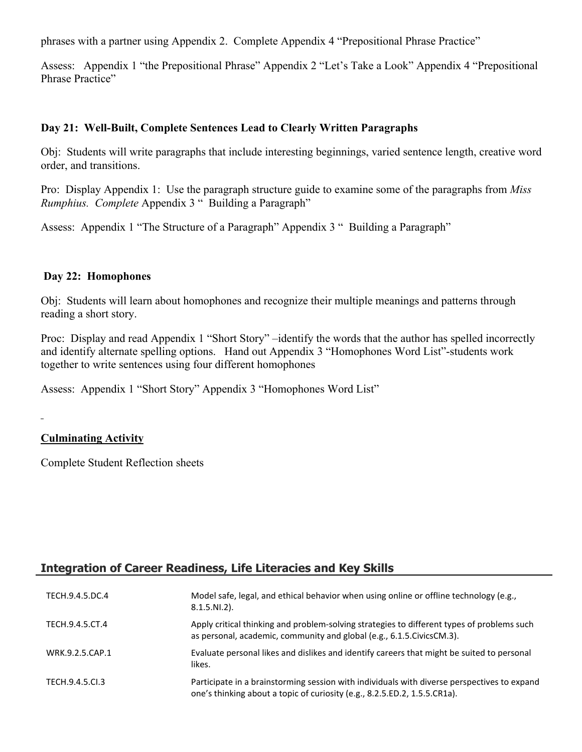phrases with a partner using Appendix 2. Complete Appendix 4 "Prepositional Phrase Practice"

Assess: Appendix 1 "the Prepositional Phrase" Appendix 2 "Let's Take a Look" Appendix 4 "Prepositional Phrase Practice"

## **Day 21: Well-Built, Complete Sentences Lead to Clearly Written Paragraphs**

Obj: Students will write paragraphs that include interesting beginnings, varied sentence length, creative word order, and transitions.

Pro: Display Appendix 1: Use the paragraph structure guide to examine some of the paragraphs from *Miss Rumphius. Complete* Appendix 3 " Building a Paragraph"

Assess: Appendix 1 "The Structure of a Paragraph" Appendix 3 " Building a Paragraph"

# **Day 22: Homophones**

Obj: Students will learn about homophones and recognize their multiple meanings and patterns through reading a short story.

Proc: Display and read Appendix 1 "Short Story" –identify the words that the author has spelled incorrectly and identify alternate spelling options. Hand out Appendix 3 "Homophones Word List"-students work together to write sentences using four different homophones

Assess: Appendix 1 "Short Story" Appendix 3 "Homophones Word List"

# **Culminating Activity**

Complete Student Reflection sheets

# **Integration of Career Readiness, Life Literacies and Key Skills**

| TECH.9.4.5.DC.4 | Model safe, legal, and ethical behavior when using online or offline technology (e.g.,<br>$8.1.5.NI.2$ ).                                                                |
|-----------------|--------------------------------------------------------------------------------------------------------------------------------------------------------------------------|
| TECH.9.4.5.CT.4 | Apply critical thinking and problem-solving strategies to different types of problems such<br>as personal, academic, community and global (e.g., 6.1.5. Civics CM.3).    |
| WRK.9.2.5.CAP.1 | Evaluate personal likes and dislikes and identify careers that might be suited to personal<br>likes.                                                                     |
| TECH.9.4.5.Cl.3 | Participate in a brainstorming session with individuals with diverse perspectives to expand<br>one's thinking about a topic of curiosity (e.g., 8.2.5.ED.2, 1.5.5.CR1a). |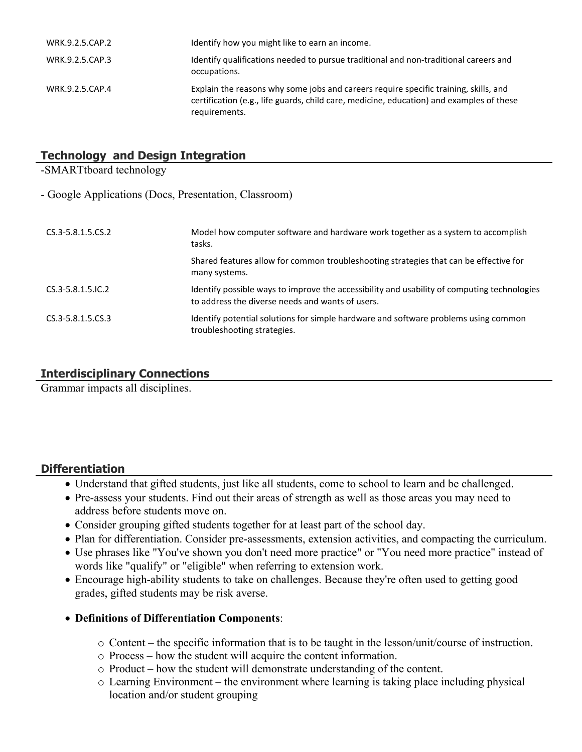| WRK.9.2.5.CAP.2 | Identify how you might like to earn an income.                                                                                                                                                    |
|-----------------|---------------------------------------------------------------------------------------------------------------------------------------------------------------------------------------------------|
| WRK.9.2.5.CAP.3 | Identify qualifications needed to pursue traditional and non-traditional careers and<br>occupations.                                                                                              |
| WRK.9.2.5.CAP.4 | Explain the reasons why some jobs and careers require specific training, skills, and<br>certification (e.g., life guards, child care, medicine, education) and examples of these<br>requirements. |

# **Technology and Design Integration**

-SMARTtboard technology

- Google Applications (Docs, Presentation, Classroom)

| CS.3-5.8.1.5.CS.2        | Model how computer software and hardware work together as a system to accomplish<br>tasks.                                                      |
|--------------------------|-------------------------------------------------------------------------------------------------------------------------------------------------|
|                          | Shared features allow for common troubleshooting strategies that can be effective for<br>many systems.                                          |
| $CS.3 - 5.8.1.5$ . IC. 2 | Identify possible ways to improve the accessibility and usability of computing technologies<br>to address the diverse needs and wants of users. |
| CS.3-5.8.1.5.CS.3        | Identify potential solutions for simple hardware and software problems using common<br>troubleshooting strategies.                              |

# **Interdisciplinary Connections**

Grammar impacts all disciplines.

## **Differentiation**

- Understand that gifted students, just like all students, come to school to learn and be challenged.
- Pre-assess your students. Find out their areas of strength as well as those areas you may need to address before students move on.
- Consider grouping gifted students together for at least part of the school day.
- Plan for differentiation. Consider pre-assessments, extension activities, and compacting the curriculum.
- Use phrases like "You've shown you don't need more practice" or "You need more practice" instead of words like "qualify" or "eligible" when referring to extension work.
- Encourage high-ability students to take on challenges. Because they're often used to getting good grades, gifted students may be risk averse.

## **Definitions of Differentiation Components**:

- o Content the specific information that is to be taught in the lesson/unit/course of instruction.
- o Process how the student will acquire the content information.
- o Product how the student will demonstrate understanding of the content.
- o Learning Environment the environment where learning is taking place including physical location and/or student grouping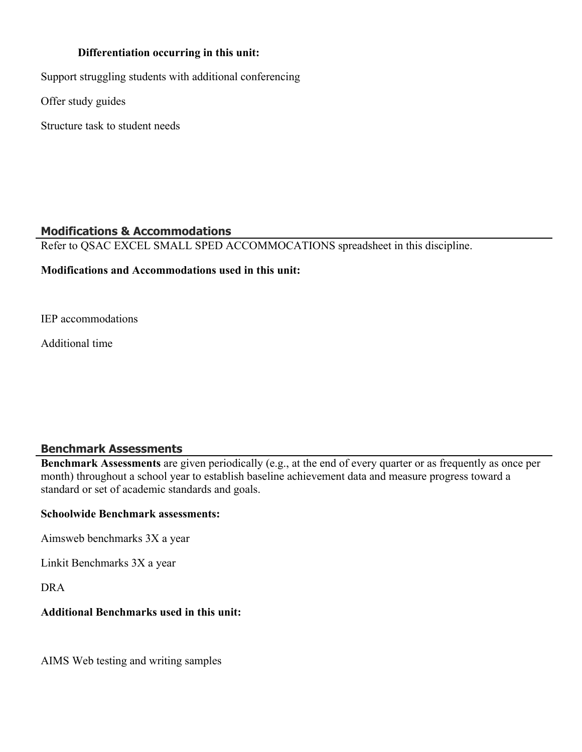## **Differentiation occurring in this unit:**

Support struggling students with additional conferencing

Offer study guides

Structure task to student needs

# **Modifications & Accommodations**

Refer to QSAC EXCEL SMALL SPED ACCOMMOCATIONS spreadsheet in this discipline.

#### **Modifications and Accommodations used in this unit:**

IEP accommodations

Additional time

## **Benchmark Assessments**

**Benchmark Assessments** are given periodically (e.g., at the end of every quarter or as frequently as once per month) throughout a school year to establish baseline achievement data and measure progress toward a standard or set of academic standards and goals.

### **Schoolwide Benchmark assessments:**

Aimsweb benchmarks 3X a year

Linkit Benchmarks 3X a year

DRA

# **Additional Benchmarks used in this unit:**

AIMS Web testing and writing samples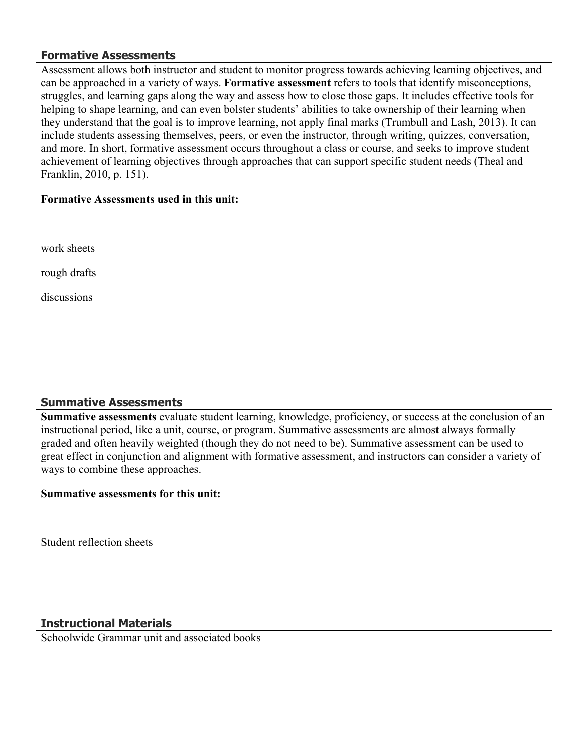# **Formative Assessments**

Assessment allows both instructor and student to monitor progress towards achieving learning objectives, and can be approached in a variety of ways. **Formative assessment** refers to tools that identify misconceptions, struggles, and learning gaps along the way and assess how to close those gaps. It includes effective tools for helping to shape learning, and can even bolster students' abilities to take ownership of their learning when they understand that the goal is to improve learning, not apply final marks (Trumbull and Lash, 2013). It can include students assessing themselves, peers, or even the instructor, through writing, quizzes, conversation, and more. In short, formative assessment occurs throughout a class or course, and seeks to improve student achievement of learning objectives through approaches that can support specific student needs (Theal and Franklin, 2010, p. 151).

#### **Formative Assessments used in this unit:**

work sheets

rough drafts

discussions

# **Summative Assessments**

**Summative assessments** evaluate student learning, knowledge, proficiency, or success at the conclusion of an instructional period, like a unit, course, or program. Summative assessments are almost always formally graded and often heavily weighted (though they do not need to be). Summative assessment can be used to great effect in conjunction and alignment with formative assessment, and instructors can consider a variety of ways to combine these approaches.

#### **Summative assessments for this unit:**

Student reflection sheets

# **Instructional Materials**

Schoolwide Grammar unit and associated books